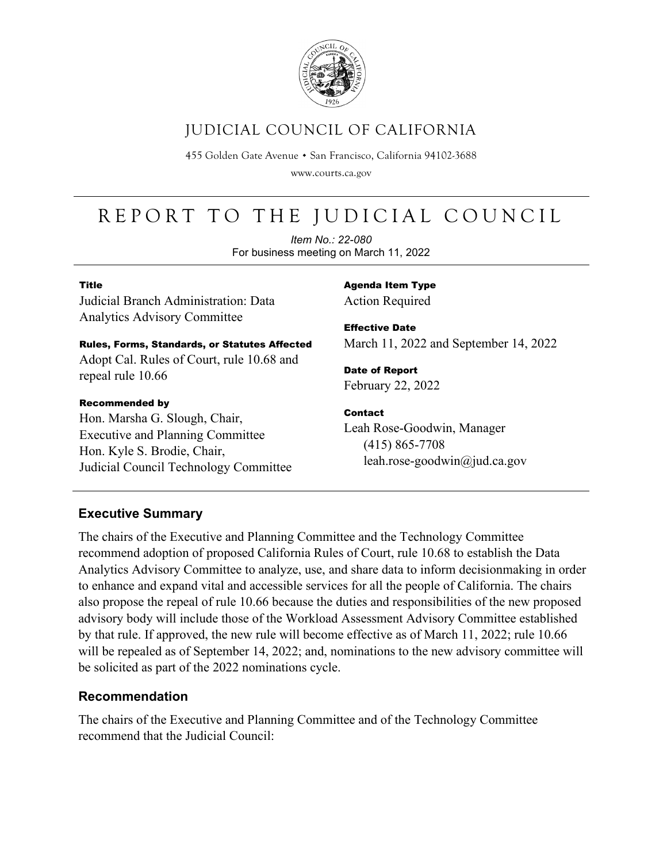

# JUDICIAL COUNCIL OF CALIFORNIA

455 Golden Gate Avenue · San Francisco, California 94102-3688

www.courts.ca.gov

# REPORT TO THE JUDICIAL COUNCIL

*Item No.: 22-080* For business meeting on March 11, 2022

#### Title

Judicial Branch Administration: Data Analytics Advisory Committee

## Rules, Forms, Standards, or Statutes Affected Adopt Cal. Rules of Court, rule 10.68 and

repeal rule 10.66

#### Recommended by

Hon. Marsha G. Slough, Chair, Executive and Planning Committee Hon. Kyle S. Brodie, Chair, Judicial Council Technology Committee Agenda Item Type Action Required

Effective Date March 11, 2022 and September 14, 2022

Date of Report February 22, 2022

#### Contact

Leah Rose-Goodwin, Manager (415) 865-7708 leah.rose-goodwin@jud.ca.gov

## **Executive Summary**

The chairs of the Executive and Planning Committee and the Technology Committee recommend adoption of proposed California Rules of Court, rule 10.68 to establish the Data Analytics Advisory Committee to analyze, use, and share data to inform decisionmaking in order to enhance and expand vital and accessible services for all the people of California. The chairs also propose the repeal of rule 10.66 because the duties and responsibilities of the new proposed advisory body will include those of the Workload Assessment Advisory Committee established by that rule. If approved, the new rule will become effective as of March 11, 2022; rule 10.66 will be repealed as of September 14, 2022; and, nominations to the new advisory committee will be solicited as part of the 2022 nominations cycle.

## **Recommendation**

The chairs of the Executive and Planning Committee and of the Technology Committee recommend that the Judicial Council: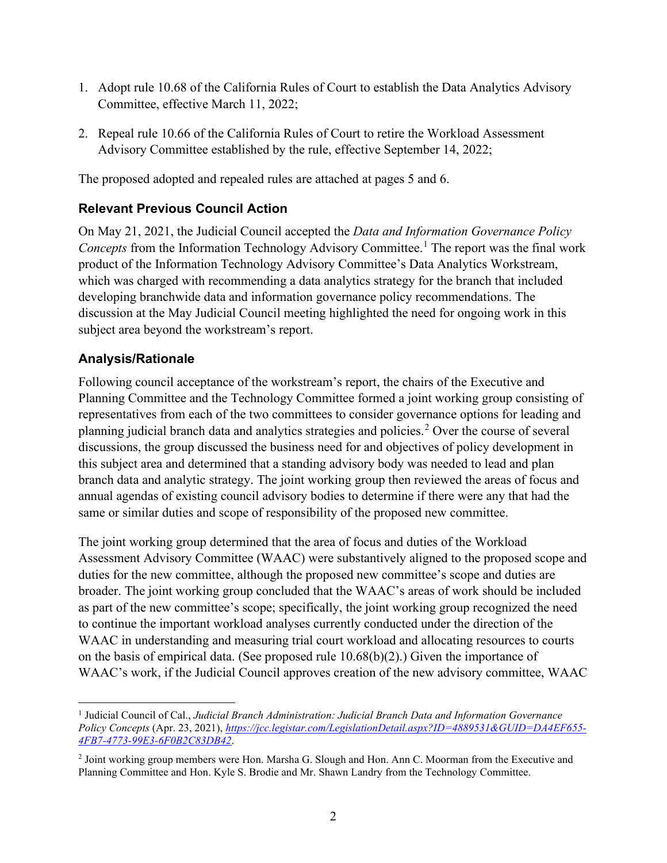- 1. Adopt rule 10.68 of the California Rules of Court to establish the Data Analytics Advisory Committee, effective March 11, 2022;
- 2. Repeal rule 10.66 of the California Rules of Court to retire the Workload Assessment Advisory Committee established by the rule, effective September 14, 2022;

The proposed adopted and repealed rules are attached at pages 5 and 6.

## **Relevant Previous Council Action**

On May 21, 2021, the Judicial Council accepted the *Data and Information Governance Policy Concepts* from the Information Technology Advisory Committee.<sup>[1](#page-1-0)</sup> The report was the final work product of the Information Technology Advisory Committee's Data Analytics Workstream, which was charged with recommending a data analytics strategy for the branch that included developing branchwide data and information governance policy recommendations. The discussion at the May Judicial Council meeting highlighted the need for ongoing work in this subject area beyond the workstream's report.

## **Analysis/Rationale**

Following council acceptance of the workstream's report, the chairs of the Executive and Planning Committee and the Technology Committee formed a joint working group consisting of representatives from each of the two committees to consider governance options for leading and planning judicial branch data and analytics strategies and policies.[2](#page-1-1) Over the course of several discussions, the group discussed the business need for and objectives of policy development in this subject area and determined that a standing advisory body was needed to lead and plan branch data and analytic strategy. The joint working group then reviewed the areas of focus and annual agendas of existing council advisory bodies to determine if there were any that had the same or similar duties and scope of responsibility of the proposed new committee.

The joint working group determined that the area of focus and duties of the Workload Assessment Advisory Committee (WAAC) were substantively aligned to the proposed scope and duties for the new committee, although the proposed new committee's scope and duties are broader. The joint working group concluded that the WAAC's areas of work should be included as part of the new committee's scope; specifically, the joint working group recognized the need to continue the important workload analyses currently conducted under the direction of the WAAC in understanding and measuring trial court workload and allocating resources to courts on the basis of empirical data. (See proposed rule 10.68(b)(2).) Given the importance of WAAC's work, if the Judicial Council approves creation of the new advisory committee, WAAC

<span id="page-1-0"></span><sup>1</sup> Judicial Council of Cal., *Judicial Branch Administration: Judicial Branch Data and Information Governance Policy Concepts* (Apr. 23, 2021), *[https://jcc.legistar.com/LegislationDetail.aspx?ID=4889531&GUID=DA4EF655-](https://jcc.legistar.com/LegislationDetail.aspx?ID=4889531&GUID=DA4EF655-4FB7-4773-99E3-6F0B2C83DB42) [4FB7-4773-99E3-6F0B2C83DB42](https://jcc.legistar.com/LegislationDetail.aspx?ID=4889531&GUID=DA4EF655-4FB7-4773-99E3-6F0B2C83DB42)*.

<span id="page-1-1"></span><sup>2</sup> Joint working group members were Hon. Marsha G. Slough and Hon. Ann C. Moorman from the Executive and Planning Committee and Hon. Kyle S. Brodie and Mr. Shawn Landry from the Technology Committee.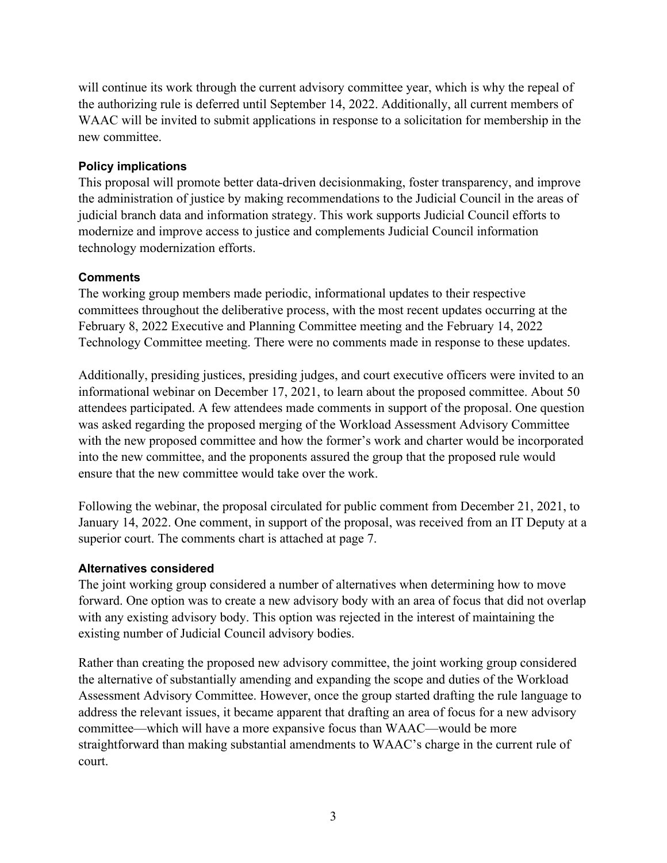will continue its work through the current advisory committee year, which is why the repeal of the authorizing rule is deferred until September 14, 2022. Additionally, all current members of WAAC will be invited to submit applications in response to a solicitation for membership in the new committee.

#### **Policy implications**

This proposal will promote better data-driven decisionmaking, foster transparency, and improve the administration of justice by making recommendations to the Judicial Council in the areas of judicial branch data and information strategy. This work supports Judicial Council efforts to modernize and improve access to justice and complements Judicial Council information technology modernization efforts.

#### **Comments**

The working group members made periodic, informational updates to their respective committees throughout the deliberative process, with the most recent updates occurring at the February 8, 2022 Executive and Planning Committee meeting and the February 14, 2022 Technology Committee meeting. There were no comments made in response to these updates.

Additionally, presiding justices, presiding judges, and court executive officers were invited to an informational webinar on December 17, 2021, to learn about the proposed committee. About 50 attendees participated. A few attendees made comments in support of the proposal. One question was asked regarding the proposed merging of the Workload Assessment Advisory Committee with the new proposed committee and how the former's work and charter would be incorporated into the new committee, and the proponents assured the group that the proposed rule would ensure that the new committee would take over the work.

Following the webinar, the proposal circulated for public comment from December 21, 2021, to January 14, 2022. One comment, in support of the proposal, was received from an IT Deputy at a superior court. The comments chart is attached at page 7.

#### **Alternatives considered**

The joint working group considered a number of alternatives when determining how to move forward. One option was to create a new advisory body with an area of focus that did not overlap with any existing advisory body. This option was rejected in the interest of maintaining the existing number of Judicial Council advisory bodies.

Rather than creating the proposed new advisory committee, the joint working group considered the alternative of substantially amending and expanding the scope and duties of the Workload Assessment Advisory Committee. However, once the group started drafting the rule language to address the relevant issues, it became apparent that drafting an area of focus for a new advisory committee—which will have a more expansive focus than WAAC—would be more straightforward than making substantial amendments to WAAC's charge in the current rule of court.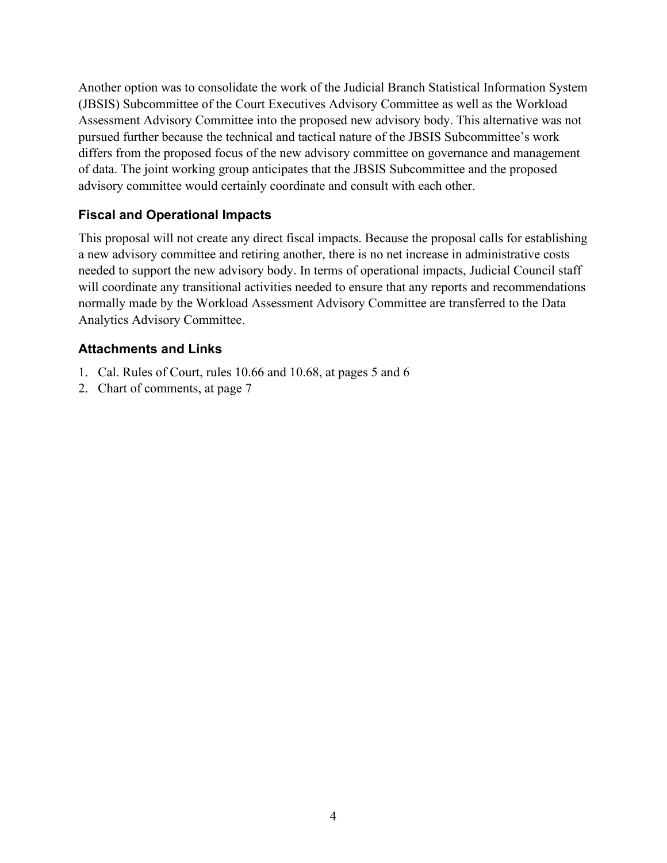Another option was to consolidate the work of the Judicial Branch Statistical Information System (JBSIS) Subcommittee of the Court Executives Advisory Committee as well as the Workload Assessment Advisory Committee into the proposed new advisory body. This alternative was not pursued further because the technical and tactical nature of the JBSIS Subcommittee's work differs from the proposed focus of the new advisory committee on governance and management of data. The joint working group anticipates that the JBSIS Subcommittee and the proposed advisory committee would certainly coordinate and consult with each other.

### **Fiscal and Operational Impacts**

This proposal will not create any direct fiscal impacts. Because the proposal calls for establishing a new advisory committee and retiring another, there is no net increase in administrative costs needed to support the new advisory body. In terms of operational impacts, Judicial Council staff will coordinate any transitional activities needed to ensure that any reports and recommendations normally made by the Workload Assessment Advisory Committee are transferred to the Data Analytics Advisory Committee.

#### **Attachments and Links**

- 1. Cal. Rules of Court, rules 10.66 and 10.68, at pages 5 and 6
- 2. Chart of comments, at page 7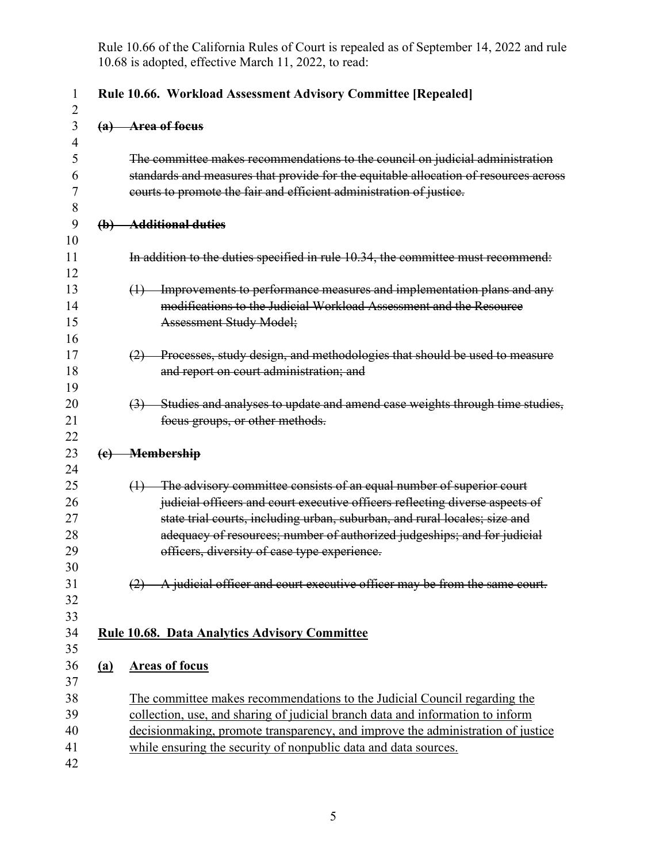Rule 10.66 of the California Rules of Court is repealed as of September 14, 2022 and rule 10.68 is adopted, effective March 11, 2022, to read:

|            | Rule 10.66. Workload Assessment Advisory Committee [Repealed]                                                                                                                                                                                                                                                                                                        |  |  |  |  |  |
|------------|----------------------------------------------------------------------------------------------------------------------------------------------------------------------------------------------------------------------------------------------------------------------------------------------------------------------------------------------------------------------|--|--|--|--|--|
|            | (a) Area of focus                                                                                                                                                                                                                                                                                                                                                    |  |  |  |  |  |
|            | The committee makes recommendations to the council on judicial administration<br>standards and measures that provide for the equitable allocation of resources across<br>courts to promote the fair and efficient administration of justice.                                                                                                                         |  |  |  |  |  |
|            | (b) Additional duties                                                                                                                                                                                                                                                                                                                                                |  |  |  |  |  |
|            | In addition to the duties specified in rule 10.34, the committee must recommend:                                                                                                                                                                                                                                                                                     |  |  |  |  |  |
|            | (1) Improvements to performance measures and implementation plans and any<br>modifications to the Judicial Workload Assessment and the Resource<br><b>Assessment Study Model;</b>                                                                                                                                                                                    |  |  |  |  |  |
|            | (2) Processes, study design, and methodologies that should be used to measure<br>and report on court administration; and                                                                                                                                                                                                                                             |  |  |  |  |  |
|            | (3) Studies and analyses to update and amend case weights through time studies,<br>focus groups, or other methods.                                                                                                                                                                                                                                                   |  |  |  |  |  |
|            | (e) Membership                                                                                                                                                                                                                                                                                                                                                       |  |  |  |  |  |
|            | $(1)$ The advisory committee consists of an equal number of superior court<br>judicial officers and court executive officers reflecting diverse aspects of<br>state trial courts, including urban, suburban, and rural locales; size and<br>adequacy of resources; number of authorized judgeships; and for judicial<br>officers, diversity of case type experience. |  |  |  |  |  |
|            | A judicial officer and court executive officer may be from the same court.                                                                                                                                                                                                                                                                                           |  |  |  |  |  |
|            | <b>Rule 10.68. Data Analytics Advisory Committee</b>                                                                                                                                                                                                                                                                                                                 |  |  |  |  |  |
| <u>(a)</u> | <b>Areas of focus</b>                                                                                                                                                                                                                                                                                                                                                |  |  |  |  |  |
|            | The committee makes recommendations to the Judicial Council regarding the<br>collection, use, and sharing of judicial branch data and information to inform<br>decisionmaking, promote transparency, and improve the administration of justice<br>while ensuring the security of nonpublic data and data sources.                                                    |  |  |  |  |  |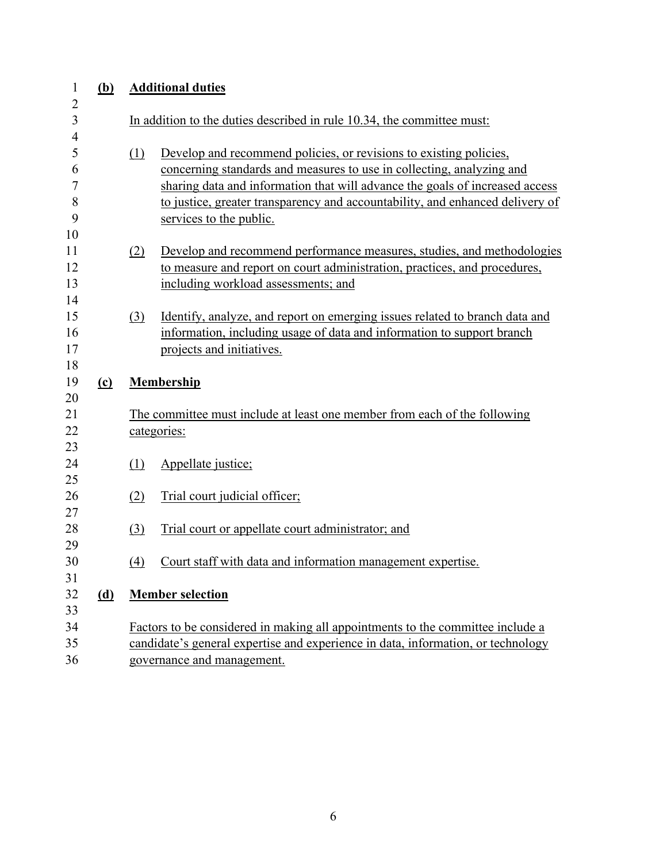| $\mathbf{1}$        | <u>(b)</u> | <b>Additional duties</b>                                                                                                                                   |  |  |  |  |  |
|---------------------|------------|------------------------------------------------------------------------------------------------------------------------------------------------------------|--|--|--|--|--|
| $\overline{c}$<br>3 |            | In addition to the duties described in rule 10.34, the committee must:                                                                                     |  |  |  |  |  |
| 4                   |            |                                                                                                                                                            |  |  |  |  |  |
| 5<br>6              |            | Develop and recommend policies, or revisions to existing policies,<br>(1)<br>concerning standards and measures to use in collecting, analyzing and         |  |  |  |  |  |
| 7                   |            | sharing data and information that will advance the goals of increased access                                                                               |  |  |  |  |  |
| 8                   |            | to justice, greater transparency and accountability, and enhanced delivery of                                                                              |  |  |  |  |  |
| 9                   |            | services to the public.                                                                                                                                    |  |  |  |  |  |
| 10                  |            |                                                                                                                                                            |  |  |  |  |  |
| 11<br>12            |            | Develop and recommend performance measures, studies, and methodologies<br>(2)<br>to measure and report on court administration, practices, and procedures, |  |  |  |  |  |
| 13                  |            | including workload assessments; and                                                                                                                        |  |  |  |  |  |
| 14                  |            |                                                                                                                                                            |  |  |  |  |  |
| 15                  |            | Identify, analyze, and report on emerging issues related to branch data and<br>$\left( \frac{3}{2} \right)$                                                |  |  |  |  |  |
| 16                  |            | information, including usage of data and information to support branch                                                                                     |  |  |  |  |  |
| 17                  |            | projects and initiatives.                                                                                                                                  |  |  |  |  |  |
| 18<br>19            | (c)        | <b>Membership</b>                                                                                                                                          |  |  |  |  |  |
| 20                  |            |                                                                                                                                                            |  |  |  |  |  |
| 21                  |            | The committee must include at least one member from each of the following                                                                                  |  |  |  |  |  |
| 22                  |            | categories:                                                                                                                                                |  |  |  |  |  |
| 23                  |            |                                                                                                                                                            |  |  |  |  |  |
| 24                  |            | (1)<br>Appellate justice;                                                                                                                                  |  |  |  |  |  |
| 25<br>26            |            | Trial court judicial officer;<br>(2)                                                                                                                       |  |  |  |  |  |
| 27                  |            |                                                                                                                                                            |  |  |  |  |  |
| 28                  |            | Trial court or appellate court administrator; and<br>(3)                                                                                                   |  |  |  |  |  |
| 29                  |            |                                                                                                                                                            |  |  |  |  |  |
| 30                  |            | Court staff with data and information management expertise.<br>$\left(4\right)$                                                                            |  |  |  |  |  |
| 31                  |            |                                                                                                                                                            |  |  |  |  |  |
| 32<br>33            | <u>(d)</u> | <b>Member selection</b>                                                                                                                                    |  |  |  |  |  |
| 34                  |            | Factors to be considered in making all appointments to the committee include a                                                                             |  |  |  |  |  |
| 35                  |            | candidate's general expertise and experience in data, information, or technology                                                                           |  |  |  |  |  |
| 36                  |            | governance and management.                                                                                                                                 |  |  |  |  |  |